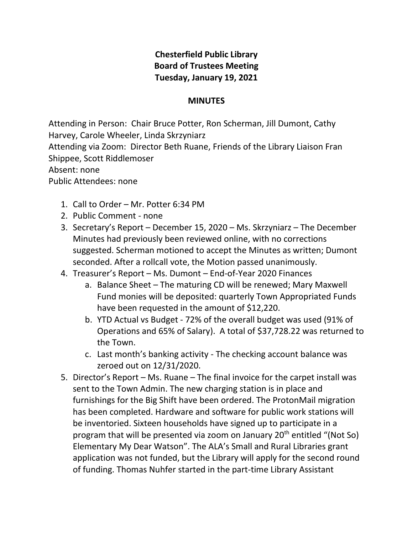## **Chesterfield Public Library Board of Trustees Meeting Tuesday, January 19, 2021**

## **MINUTES**

Attending in Person: Chair Bruce Potter, Ron Scherman, Jill Dumont, Cathy Harvey, Carole Wheeler, Linda Skrzyniarz Attending via Zoom: Director Beth Ruane, Friends of the Library Liaison Fran Shippee, Scott Riddlemoser Absent: none Public Attendees: none

- 1. Call to Order Mr. Potter 6:34 PM
- 2. Public Comment none
- 3. Secretary's Report December 15, 2020 Ms. Skrzyniarz The December Minutes had previously been reviewed online, with no corrections suggested. Scherman motioned to accept the Minutes as written; Dumont seconded. After a rollcall vote, the Motion passed unanimously.
- 4. Treasurer's Report Ms. Dumont End-of-Year 2020 Finances
	- a. Balance Sheet The maturing CD will be renewed; Mary Maxwell Fund monies will be deposited: quarterly Town Appropriated Funds have been requested in the amount of \$12,220.
	- b. YTD Actual vs Budget 72% of the overall budget was used (91% of Operations and 65% of Salary). A total of \$37,728.22 was returned to the Town.
	- c. Last month's banking activity The checking account balance was zeroed out on 12/31/2020.
- 5. Director's Report Ms. Ruane The final invoice for the carpet install was sent to the Town Admin. The new charging station is in place and furnishings for the Big Shift have been ordered. The ProtonMail migration has been completed. Hardware and software for public work stations will be inventoried. Sixteen households have signed up to participate in a program that will be presented via zoom on January 20<sup>th</sup> entitled "(Not So) Elementary My Dear Watson". The ALA's Small and Rural Libraries grant application was not funded, but the Library will apply for the second round of funding. Thomas Nuhfer started in the part-time Library Assistant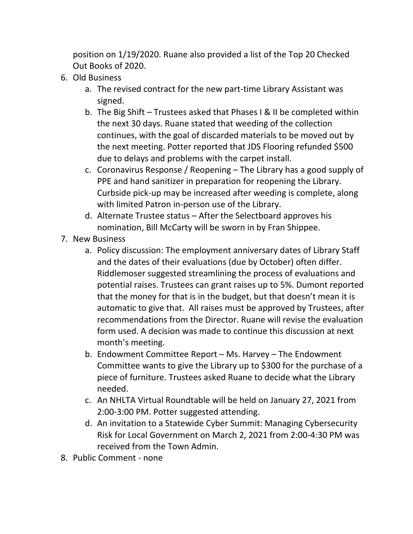position on 1/19/2020. Ruane also provided a list of the Top 20 Checked Out Books of 2020.

- 6. Old Business
	- a. The revised contract for the new part-time Library Assistant was signed.
	- b. The Big Shift Trustees asked that Phases I & II be completed within the next 30 days. Ruane stated that weeding of the collection continues, with the goal of discarded materials to be moved out by the next meeting. Potter reported that JDS Flooring refunded \$500 due to delays and problems with the carpet install.
	- c. Coronavirus Response / Reopening The Library has a good supply of PPE and hand sanitizer in preparation for reopening the Library. Curbside pick-up may be increased after weeding is complete, along with limited Patron in-person use of the Library.
	- d. Alternate Trustee status After the Selectboard approves his nomination, Bill McCarty will be sworn in by Fran Shippee.
- 7. New Business
	- a. Policy discussion: The employment anniversary dates of Library Staff and the dates of their evaluations (due by October) often differ. Riddlemoser suggested streamlining the process of evaluations and potential raises. Trustees can grant raises up to 5%. Dumont reported that the money for that is in the budget, but that doesn't mean it is automatic to give that. All raises must be approved by Trustees, after recommendations from the Director. Ruane will revise the evaluation form used. A decision was made to continue this discussion at next month's meeting.
	- b. Endowment Committee Report Ms. Harvey The Endowment Committee wants to give the Library up to \$300 for the purchase of a piece of furniture. Trustees asked Ruane to decide what the Library needed.
	- c. An NHLTA Virtual Roundtable will be held on January 27, 2021 from 2:00-3:00 PM. Potter suggested attending.
	- d. An invitation to a Statewide Cyber Summit: Managing Cybersecurity Risk for Local Government on March 2, 2021 from 2:00-4:30 PM was received from the Town Admin.
- 8. Public Comment none